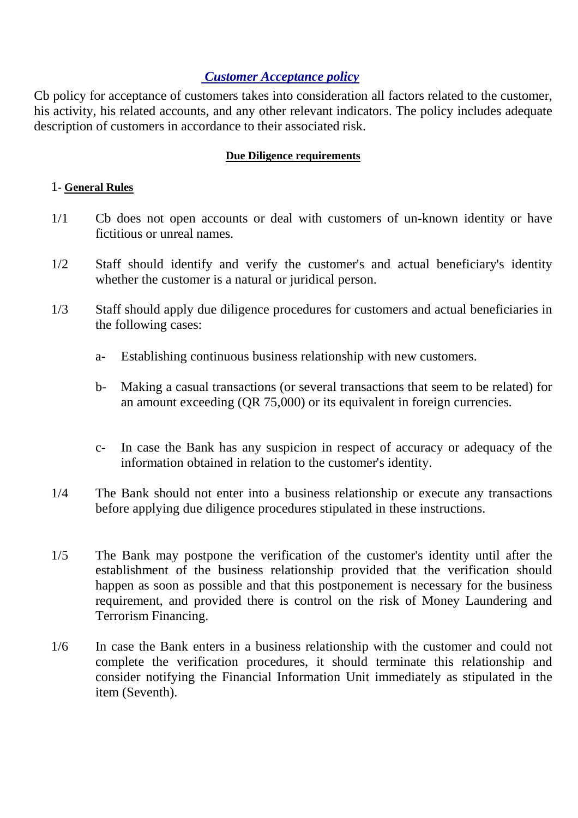## *Customer Acceptance policy*

Cb policy for acceptance of customers takes into consideration all factors related to the customer, his activity, his related accounts, and any other relevant indicators. The policy includes adequate description of customers in accordance to their associated risk.

## **Due Diligence requirements**

## 1- **General Rules**

- 1/1 Cb does not open accounts or deal with customers of un-known identity or have fictitious or unreal names.
- 1/2 Staff should identify and verify the customer's and actual beneficiary's identity whether the customer is a natural or juridical person.
- 1/3 Staff should apply due diligence procedures for customers and actual beneficiaries in the following cases:
	- a- Establishing continuous business relationship with new customers.
	- b- Making a casual transactions (or several transactions that seem to be related) for an amount exceeding (QR 75,000) or its equivalent in foreign currencies.
	- c- In case the Bank has any suspicion in respect of accuracy or adequacy of the information obtained in relation to the customer's identity.
- 1/4 The Bank should not enter into a business relationship or execute any transactions before applying due diligence procedures stipulated in these instructions.
- 1/5 The Bank may postpone the verification of the customer's identity until after the establishment of the business relationship provided that the verification should happen as soon as possible and that this postponement is necessary for the business requirement, and provided there is control on the risk of Money Laundering and Terrorism Financing.
- 1/6 In case the Bank enters in a business relationship with the customer and could not complete the verification procedures, it should terminate this relationship and consider notifying the Financial Information Unit immediately as stipulated in the item (Seventh).